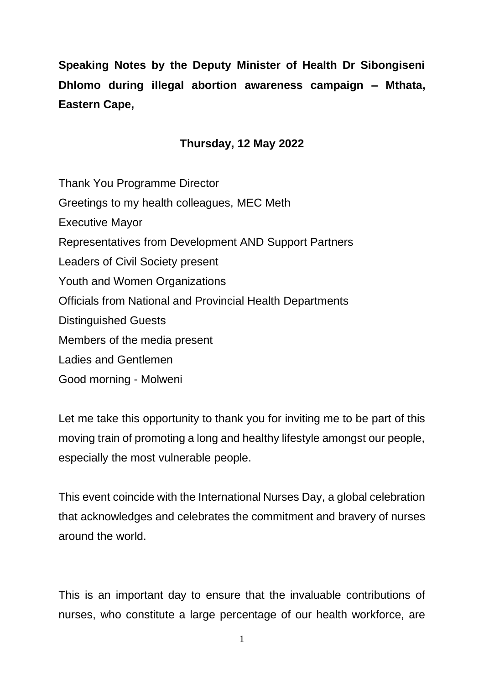**Speaking Notes by the Deputy Minister of Health Dr Sibongiseni Dhlomo during illegal abortion awareness campaign – Mthata, Eastern Cape,** 

## **Thursday, 12 May 2022**

Thank You Programme Director Greetings to my health colleagues, MEC Meth Executive Mayor Representatives from Development AND Support Partners Leaders of Civil Society present Youth and Women Organizations Officials from National and Provincial Health Departments Distinguished Guests Members of the media present Ladies and Gentlemen Good morning - Molweni

Let me take this opportunity to thank you for inviting me to be part of this moving train of promoting a long and healthy lifestyle amongst our people, especially the most vulnerable people.

This event coincide with the International Nurses Day, a global celebration that acknowledges and celebrates the commitment and bravery of nurses around the world.

This is an important day to ensure that the invaluable contributions of nurses, who constitute a large percentage of our health workforce, are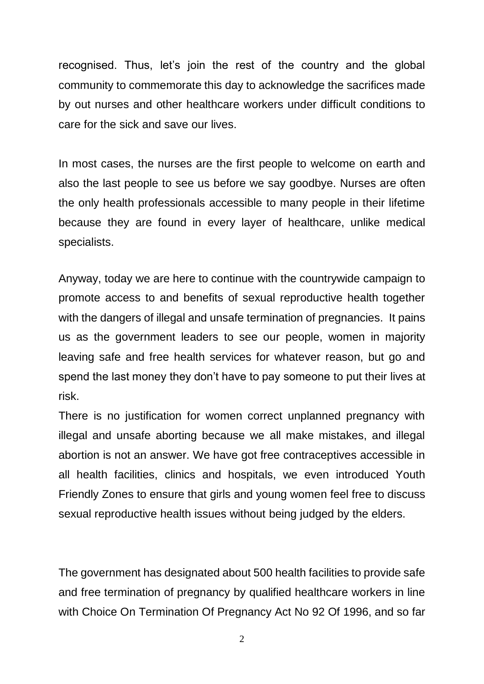recognised. Thus, let's join the rest of the country and the global community to commemorate this day to acknowledge the sacrifices made by out nurses and other healthcare workers under difficult conditions to care for the sick and save our lives.

In most cases, the nurses are the first people to welcome on earth and also the last people to see us before we say goodbye. Nurses are often the only health professionals accessible to many people in their lifetime because they are found in every layer of healthcare, unlike medical specialists.

Anyway, today we are here to continue with the countrywide campaign to promote access to and benefits of sexual reproductive health together with the dangers of illegal and unsafe termination of pregnancies. It pains us as the government leaders to see our people, women in majority leaving safe and free health services for whatever reason, but go and spend the last money they don't have to pay someone to put their lives at risk.

There is no justification for women correct unplanned pregnancy with illegal and unsafe aborting because we all make mistakes, and illegal abortion is not an answer. We have got free contraceptives accessible in all health facilities, clinics and hospitals, we even introduced Youth Friendly Zones to ensure that girls and young women feel free to discuss sexual reproductive health issues without being judged by the elders.

The government has designated about 500 health facilities to provide safe and free termination of pregnancy by qualified healthcare workers in line with Choice On Termination Of Pregnancy Act No 92 Of 1996, and so far

2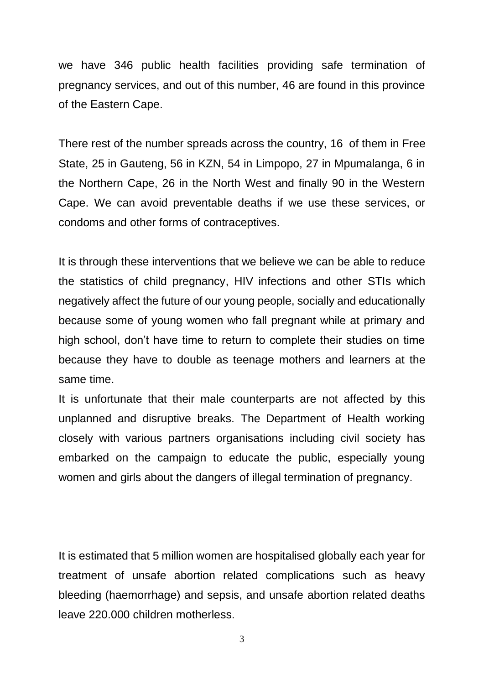we have 346 public health facilities providing safe termination of pregnancy services, and out of this number, 46 are found in this province of the Eastern Cape.

There rest of the number spreads across the country, 16 of them in Free State, 25 in Gauteng, 56 in KZN, 54 in Limpopo, 27 in Mpumalanga, 6 in the Northern Cape, 26 in the North West and finally 90 in the Western Cape. We can avoid preventable deaths if we use these services, or condoms and other forms of contraceptives.

It is through these interventions that we believe we can be able to reduce the statistics of child pregnancy, HIV infections and other STIs which negatively affect the future of our young people, socially and educationally because some of young women who fall pregnant while at primary and high school, don't have time to return to complete their studies on time because they have to double as teenage mothers and learners at the same time.

It is unfortunate that their male counterparts are not affected by this unplanned and disruptive breaks. The Department of Health working closely with various partners organisations including civil society has embarked on the campaign to educate the public, especially young women and girls about the dangers of illegal termination of pregnancy.

It is estimated that 5 million women are hospitalised globally each year for treatment of unsafe abortion related complications such as heavy bleeding (haemorrhage) and sepsis, and unsafe abortion related deaths leave 220.000 children motherless.

3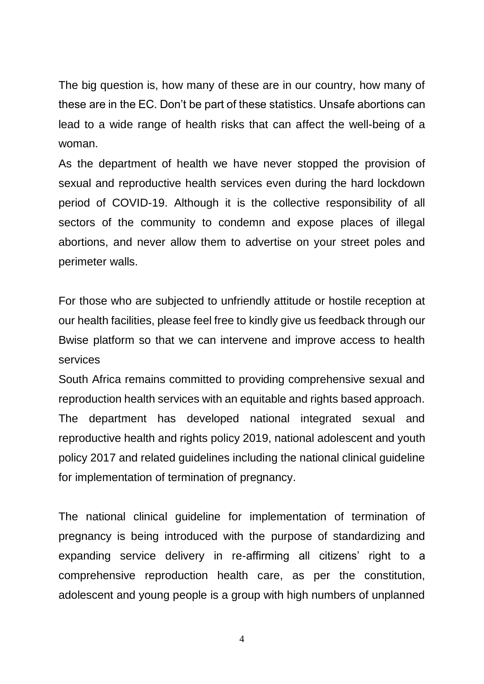The big question is, how many of these are in our country, how many of these are in the EC. Don't be part of these statistics. Unsafe abortions can lead to a wide range of health risks that can affect the well-being of a woman.

As the department of health we have never stopped the provision of sexual and reproductive health services even during the hard lockdown period of COVID-19. Although it is the collective responsibility of all sectors of the community to condemn and expose places of illegal abortions, and never allow them to advertise on your street poles and perimeter walls.

For those who are subjected to unfriendly attitude or hostile reception at our health facilities, please feel free to kindly give us feedback through our Bwise platform so that we can intervene and improve access to health services

South Africa remains committed to providing comprehensive sexual and reproduction health services with an equitable and rights based approach. The department has developed national integrated sexual and reproductive health and rights policy 2019, national adolescent and youth policy 2017 and related guidelines including the national clinical guideline for implementation of termination of pregnancy.

The national clinical guideline for implementation of termination of pregnancy is being introduced with the purpose of standardizing and expanding service delivery in re-affirming all citizens' right to a comprehensive reproduction health care, as per the constitution, adolescent and young people is a group with high numbers of unplanned

4